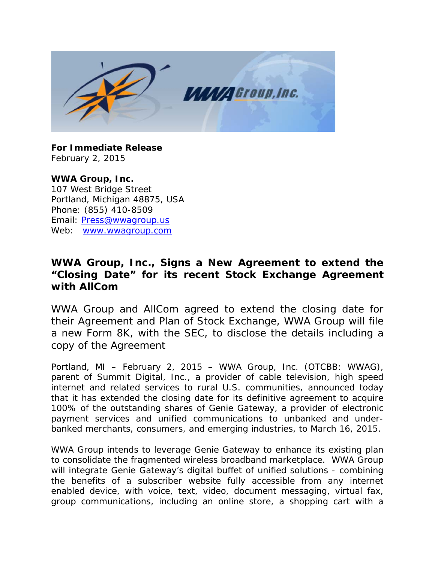

**For Immediate Release** February 2, 2015

**WWA Group, Inc.** 107 West Bridge Street Portland, Michigan 48875, USA Phone: (855) 410-8509 Email: [Press@wwagroup.us](mailto:Press@wwagroup.us) Web: [www.wwagroup.com](http://www.wwagroup.com/)

## **WWA Group, Inc., Signs a New Agreement to extend the "Closing Date" for its recent Stock Exchange Agreement with AllCom**

*WWA Group and AllCom agreed to extend the closing date for their Agreement and Plan of Stock Exchange, WWA Group will file a new Form 8K, with the SEC, to disclose the details including a copy of the Agreement*

Portland, MI – February 2, 2015 – WWA Group, Inc. (OTCBB: WWAG), parent of Summit Digital, Inc., a provider of cable television, high speed internet and related services to rural U.S. communities, announced today that it has extended the closing date for its definitive agreement to acquire 100% of the outstanding shares of Genie Gateway, a provider of electronic payment services and unified communications to unbanked and underbanked merchants, consumers, and emerging industries, to March 16, 2015.

WWA Group intends to leverage Genie Gateway to enhance its existing plan to consolidate the fragmented wireless broadband marketplace. WWA Group will integrate Genie Gateway's digital buffet of unified solutions - combining the benefits of a subscriber website fully accessible from any internet enabled device, with voice, text, video, document messaging, virtual fax, group communications, including an online store, a shopping cart with a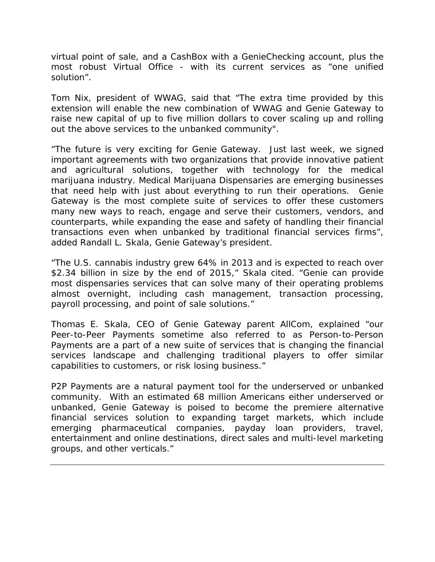virtual point of sale, and a CashBox with a GenieChecking account, plus the most robust Virtual Office - with its current services as "one unified solution".

Tom Nix, president of WWAG, said that "The extra time provided by this extension will enable the new combination of WWAG and Genie Gateway to raise new capital of up to five million dollars to cover scaling up and rolling out the above services to the unbanked community".

"The future is very exciting for Genie Gateway. Just last week, we signed important agreements with two organizations that provide innovative patient and agricultural solutions, together with technology for the medical marijuana industry. Medical Marijuana Dispensaries are emerging businesses that need help with just about everything to run their operations. Genie Gateway is the most complete suite of services to offer these customers many new ways to reach, engage and serve their customers, vendors, and counterparts, while expanding the ease and safety of handling their financial transactions even when unbanked by traditional financial services firms", added Randall L. Skala, Genie Gateway's president.

"The U.S. cannabis industry grew 64% in 2013 and is expected to reach over \$2.34 billion in size by the end of 2015," Skala cited. "Genie can provide most dispensaries services that can solve many of their operating problems almost overnight, including cash management, transaction processing, payroll processing, and point of sale solutions."

Thomas E. Skala, CEO of Genie Gateway parent AllCom, explained "our Peer-to-Peer Payments sometime also referred to as Person-to-Person Payments are a part of a new suite of services that is changing the financial services landscape and challenging traditional players to offer similar capabilities to customers, or risk losing business."

P2P Payments are a natural payment tool for the underserved or unbanked community. With an estimated 68 million Americans either underserved or unbanked, Genie Gateway is poised to become the premiere alternative financial services solution to expanding target markets, which include emerging pharmaceutical companies, payday loan providers, travel, entertainment and online destinations, direct sales and multi-level marketing groups, and other verticals."